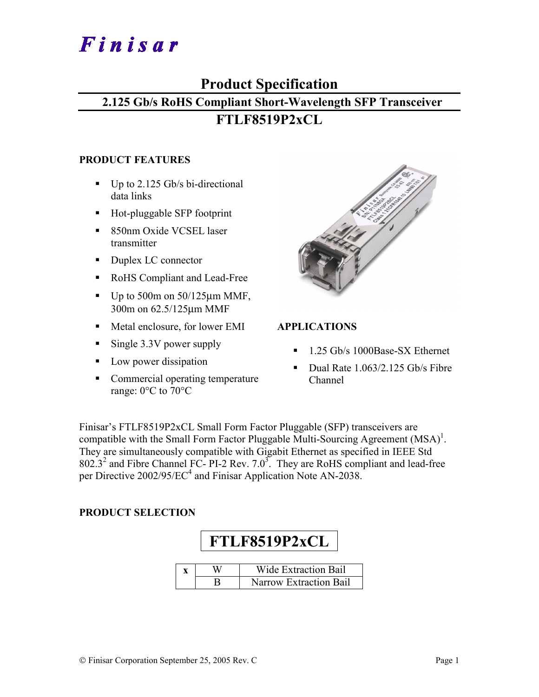# Finisar

# **Product Specification**

# **2.125 Gb/s RoHS Compliant Short-Wavelength SFP Transceiver**

# **FTLF8519P2xCL**

#### **PRODUCT FEATURES**

- $\blacksquare$  Up to 2.125 Gb/s bi-directional data links
- Hot-pluggable SFP footprint
- 850nm Oxide VCSEL laser transmitter
- Duplex LC connector
- RoHS Compliant and Lead-Free
- $\blacksquare$  Up to 500m on 50/125 $\mu$ m MMF, 300m on 62.5/125µm MMF
- Metal enclosure, for lower EMI
- Single  $3.3V$  power supply
- Low power dissipation
- Commercial operating temperature range: 0°C to 70°C

| <b>Simple Strains</b> |  |
|-----------------------|--|
|                       |  |
|                       |  |
|                       |  |
|                       |  |
|                       |  |
|                       |  |
|                       |  |
|                       |  |
|                       |  |
|                       |  |
|                       |  |
|                       |  |
|                       |  |
|                       |  |

### **APPLICATIONS**

- <sup>1.25</sup> Gb/s 1000Base-SX Ethernet
- Dual Rate 1.063/2.125 Gb/s Fibre Channel

Finisar's FTLF8519P2xCL Small Form Factor Pluggable (SFP) transceivers are compatible with the Small Form Factor Pluggable Multi-Sourcing Agreement  $(MSA)^{1}$ . They are simultaneously compatible with Gigabit Ethernet as specified in IEEE Std  $802.3<sup>2</sup>$  and Fibre Channel FC- PI-2 Rev. 7.0<sup>3</sup>. They are RoHS compliant and lead-free per Directive 2002/95/EC<sup>4</sup> and Finisar Application Note AN-2038.

#### **PRODUCT SELECTION**

# **FTLF8519P2xCL**

|  | Wide Extraction Bail   |
|--|------------------------|
|  | Narrow Extraction Bail |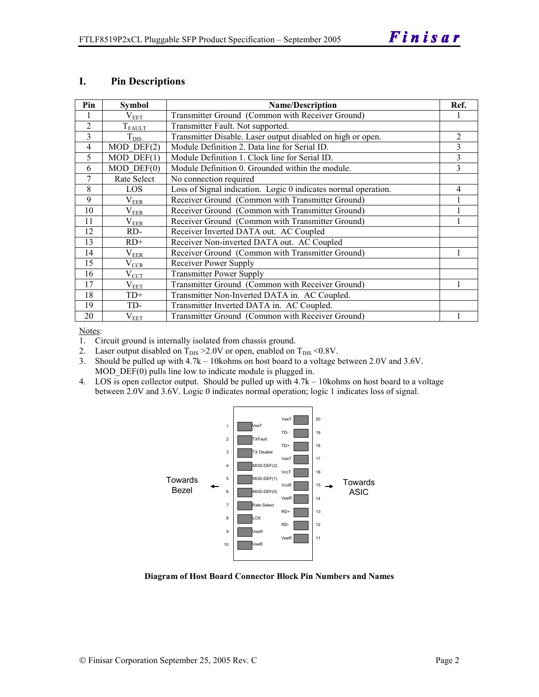#### **I. Pin Descriptions**

| Pin            | <b>Symbol</b>    | <b>Name/Description</b>                                        | Ref.           |
|----------------|------------------|----------------------------------------------------------------|----------------|
|                | $V_{EET}$        | Transmitter Ground (Common with Receiver Ground)               |                |
| $\overline{2}$ | $T_{FAULT}$      | Transmitter Fault. Not supported.                              |                |
| 3              | $T_{\text{DIS}}$ | Transmitter Disable. Laser output disabled on high or open.    | $\overline{2}$ |
| 4              | $MOD$ DEF $(2)$  | Module Definition 2. Data line for Serial ID.                  | 3              |
| 5              | $MOD$ DEF $(1)$  | Module Definition 1. Clock line for Serial ID.                 | 3              |
| 6              | $MOD$ $DEF(0)$   | Module Definition 0. Grounded within the module.               | 3              |
| 7              | Rate Select      | No connection required                                         |                |
| 8              | LOS              | Loss of Signal indication. Logic 0 indicates normal operation. | 4              |
| 9              | $\rm V_{EER}$    | Receiver Ground (Common with Transmitter Ground)               |                |
| 10             | $\rm V_{EER}$    | Receiver Ground (Common with Transmitter Ground)               |                |
| 11             | $\rm V_{EER}$    | Receiver Ground (Common with Transmitter Ground)               |                |
| 12             | RD-              | Receiver Inverted DATA out. AC Coupled                         |                |
| 13             | $RD+$            | Receiver Non-inverted DATA out. AC Coupled                     |                |
| 14             | $\rm V_{EER}$    | Receiver Ground (Common with Transmitter Ground)               |                |
| 15             | $\rm V_{CCR}$    | Receiver Power Supply                                          |                |
| 16             | $V_{\rm CCT}$    | <b>Transmitter Power Supply</b>                                |                |
| 17             | $\rm V_{EET}$    | Transmitter Ground (Common with Receiver Ground)               |                |
| 18             | $TD+$            | Transmitter Non-Inverted DATA in. AC Coupled.                  |                |
| 19             | TD-              | Transmitter Inverted DATA in. AC Coupled.                      |                |
| 20             | $V_{EET}$        | Transmitter Ground (Common with Receiver Ground)               |                |

Notes:

1. Circuit ground is internally isolated from chassis ground.

2. Laser output disabled on  $T_{DIS} > 2.0V$  or open, enabled on  $T_{DIS} < 0.8V$ .

3. Should be pulled up with 4.7k – 10kohms on host board to a voltage between 2.0V and 3.6V. MOD  $DEF(0)$  pulls line low to indicate module is plugged in.

4. LOS is open collector output. Should be pulled up with 4.7k – 10kohms on host board to a voltage between 2.0V and 3.6V. Logic 0 indicates normal operation; logic 1 indicates loss of signal.



**Diagram of Host Board Connector Block Pin Numbers and Names**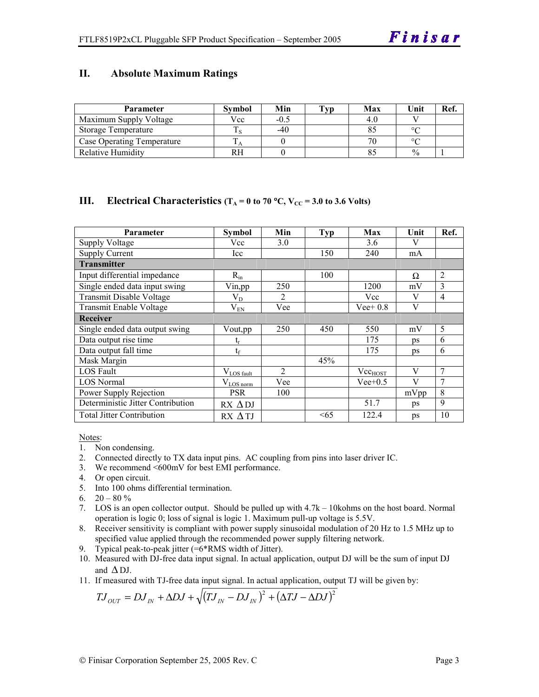#### **II. Absolute Maximum Ratings**

| <b>Parameter</b>                  | Svmbol | Min    | Typ | Max | Unit          | Ref |
|-----------------------------------|--------|--------|-----|-----|---------------|-----|
| Maximum Supply Voltage            | Vcc    | $-0.5$ |     |     |               |     |
| Storage Temperature               |        | $-40$  |     |     | $\circ$       |     |
| <b>Case Operating Temperature</b> |        |        |     |     | $\circ$       |     |
| <b>Relative Humidity</b>          | RН     |        |     |     | $\frac{0}{0}$ |     |

#### **III.** Electrical Characteristics ( $T_A = 0$  to 70 °C,  $V_{CC} = 3.0$  to 3.6 Volts)

| Parameter                         | Symbol                            | Min | Typ | Max          | Unit         | Ref.           |
|-----------------------------------|-----------------------------------|-----|-----|--------------|--------------|----------------|
| Supply Voltage                    | Vcc                               | 3.0 |     | 3.6          | V            |                |
| <b>Supply Current</b>             | Icc                               |     | 150 | 240          | mA           |                |
| <b>Transmitter</b>                |                                   |     |     |              |              |                |
| Input differential impedance      | $R_{in}$                          |     | 100 |              | Ω            | $\overline{2}$ |
| Single ended data input swing     | Vin, pp                           | 250 |     | 1200         | mV           | 3              |
| Transmit Disable Voltage          | $\rm V_{D}$                       | 2   |     | Vcc          | $\mathbf{V}$ | $\overline{4}$ |
| <b>Transmit Enable Voltage</b>    | $\rm V_{EN}$                      | Vee |     | $Vee+0.8$    | V            |                |
| <b>Receiver</b>                   |                                   |     |     |              |              |                |
| Single ended data output swing    | Vout, pp                          | 250 | 450 | 550          | mV           | 5              |
| Data output rise time             | ւ                                 |     |     | 175          | ps           | 6              |
| Data output fall time             | $t_{\rm f}$                       |     |     | 175          | ps           | 6              |
| Mask Margin                       |                                   |     | 45% |              |              |                |
| LOS Fault                         | $V_{LOS$ fault                    | 2   |     | $Vec_{HOST}$ | V            | $\overline{7}$ |
| <b>LOS</b> Normal                 | $V_{LOS \underline{\text{norm}}}$ | Vee |     | $Vee+0.5$    | V            | 7              |
| Power Supply Rejection            | <b>PSR</b>                        | 100 |     |              | mVpp         | 8              |
| Deterministic Jitter Contribution | $RX \Delta DJ$                    |     |     | 51.7         | ps           | 9              |
| <b>Total Jitter Contribution</b>  | RX ATJ                            |     | <65 | 122.4        | ps           | 10             |

Notes:

- 1. Non condensing.
- 2. Connected directly to TX data input pins. AC coupling from pins into laser driver IC.
- 3. We recommend <600mV for best EMI performance.
- 4. Or open circuit.
- 5. Into 100 ohms differential termination.
- 6.  $20 80 \%$
- 7. LOS is an open collector output. Should be pulled up with 4.7k 10kohms on the host board. Normal operation is logic 0; loss of signal is logic 1. Maximum pull-up voltage is 5.5V.
- 8. Receiver sensitivity is compliant with power supply sinusoidal modulation of 20 Hz to 1.5 MHz up to specified value applied through the recommended power supply filtering network.
- 9. Typical peak-to-peak jitter (=6\*RMS width of Jitter).
- 10. Measured with DJ-free data input signal. In actual application, output DJ will be the sum of input DJ and  $\Delta$  DJ.
- 11. If measured with TJ-free data input signal. In actual application, output TJ will be given by:

$$
T J_{OUT} = D J_{IN} + \Delta D J + \sqrt{(T J_{IN} - D J_{IN})^2 + (\Delta T J - \Delta D J)^2}
$$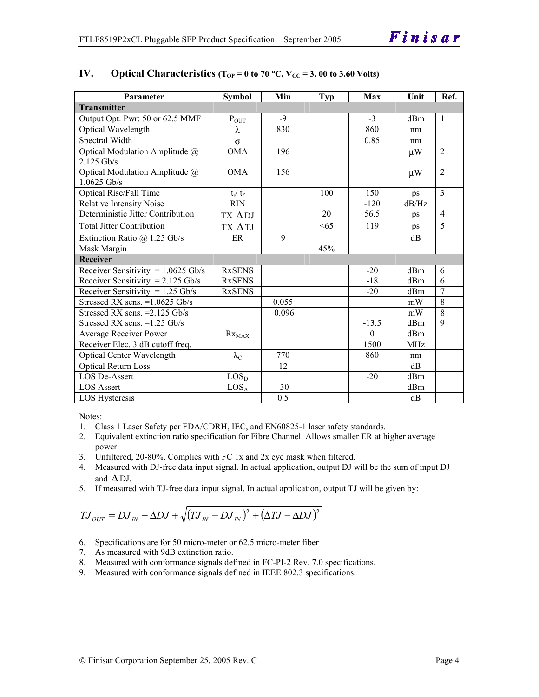| Parameter                            | <b>Symbol</b>             | Min   | Typ | Max          | Unit            | Ref.           |
|--------------------------------------|---------------------------|-------|-----|--------------|-----------------|----------------|
| <b>Transmitter</b>                   |                           |       |     |              |                 |                |
| Output Opt. Pwr: 50 or 62.5 MMF      | $P_{OUT}$                 | $-9$  |     | $-3$         | d <sub>Bm</sub> | $\overline{1}$ |
| Optical Wavelength                   | λ                         | 830   |     | 860          | nm              |                |
| Spectral Width                       | $\sigma$                  |       |     | 0.85         | nm              |                |
| Optical Modulation Amplitude @       | <b>OMA</b>                | 196   |     |              | $\mu$ W         | $\overline{2}$ |
| 2.125 Gb/s                           |                           |       |     |              |                 |                |
| Optical Modulation Amplitude @       | <b>OMA</b>                | 156   |     |              | $\mu$ W         | $\overline{2}$ |
| $1.0625$ Gb/s                        |                           |       |     |              |                 |                |
| Optical Rise/Fall Time               | $t_r / t_f$               |       | 100 | 150          | ps              | $\mathcal{E}$  |
| <b>Relative Intensity Noise</b>      | <b>RIN</b>                |       |     | $-120$       | dB/Hz           |                |
| Deterministic Jitter Contribution    | TX ADJ                    |       | 20  | 56.5         | ps              | $\overline{4}$ |
| <b>Total Jitter Contribution</b>     | TX ΔTJ                    |       | <65 | 119          | ps              | 5              |
| Extinction Ratio $@$ 1.25 Gb/s       | ER                        | 9     |     |              | dB              |                |
| Mask Margin                          |                           |       | 45% |              |                 |                |
| <b>Receiver</b>                      |                           |       |     |              |                 |                |
| Receiver Sensitivity = $1.0625$ Gb/s | <b>RxSENS</b>             |       |     | $-20$        | dBm             | 6              |
| Receiver Sensitivity = $2.125$ Gb/s  | <b>RxSENS</b>             |       |     | $-18$        | dBm             | 6              |
| Receiver Sensitivity = $1.25$ Gb/s   | <b>RxSENS</b>             |       |     | $-20$        | d <sub>Bm</sub> | $\overline{7}$ |
| Stressed RX sens. = 1.0625 Gb/s      |                           | 0.055 |     |              | mW              | 8              |
| Stressed RX sens. $=2.125$ Gb/s      |                           | 0.096 |     |              | mW              | $\overline{8}$ |
| Stressed RX sens. $=1.25$ Gb/s       |                           |       |     | $-13.5$      | dBm             | 9              |
| Average Receiver Power               | $Rx_{MAX}$                |       |     | $\mathbf{0}$ | dBm             |                |
| Receiver Elec. 3 dB cutoff freq.     |                           |       |     | 1500         | MH <sub>z</sub> |                |
| <b>Optical Center Wavelength</b>     | $\lambda_{\underline{C}}$ | 770   |     | 860          | nm              |                |
| <b>Optical Return Loss</b>           |                           | 12    |     |              | dB              |                |
| <b>LOS De-Assert</b>                 | LOS <sub>D</sub>          |       |     | $-20$        | dBm             |                |
| <b>LOS Assert</b>                    | LOS <sub>A</sub>          | $-30$ |     |              | dBm             |                |
| <b>LOS</b> Hysteresis                |                           | 0.5   |     |              | dB              |                |

#### IV. Optical Characteristics ( $T_{OP} = 0$  to 70 °C,  $V_{CC} = 3.00$  to 3.60 Volts)

Notes:

- 1. Class 1 Laser Safety per FDA/CDRH, IEC, and EN60825-1 laser safety standards.
- 2. Equivalent extinction ratio specification for Fibre Channel. Allows smaller ER at higher average power.
- 3. Unfiltered, 20-80%. Complies with FC 1x and 2x eye mask when filtered.
- 4. Measured with DJ-free data input signal. In actual application, output DJ will be the sum of input DJ and  $\Delta$  DJ.
- 5. If measured with TJ-free data input signal. In actual application, output TJ will be given by:

$$
T J_{OUT} = D J_{IN} + \Delta D J + \sqrt{(T J_{IN} - D J_{IN})^2 + (\Delta T J - \Delta D J)^2}
$$

- 6. Specifications are for 50 micro-meter or 62.5 micro-meter fiber
- 7. As measured with 9dB extinction ratio.
- 8. Measured with conformance signals defined in FC-PI-2 Rev. 7.0 specifications.
- 9. Measured with conformance signals defined in IEEE 802.3 specifications.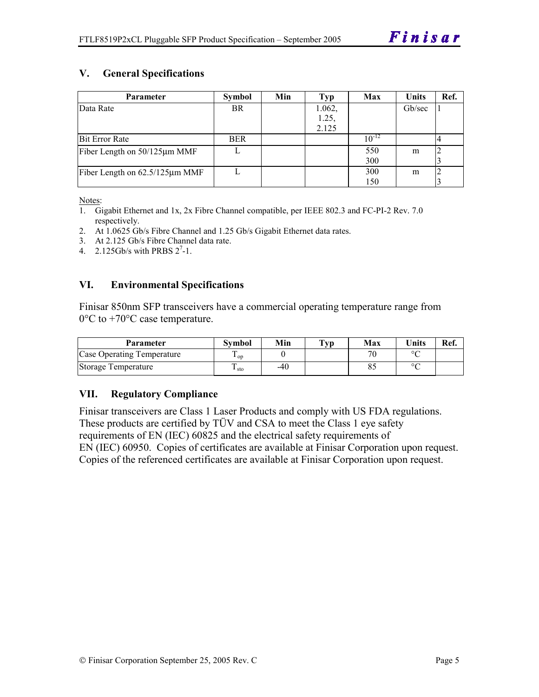### **V. General Specifications**

| <b>Parameter</b>               | Symbol     | Min | Typ    | Max        | <b>Units</b> | Ref. |
|--------------------------------|------------|-----|--------|------------|--------------|------|
| Data Rate                      | <b>BR</b>  |     | 1.062, |            | Gb/sec       |      |
|                                |            |     | 1.25,  |            |              |      |
|                                |            |     | 2.125  |            |              |      |
| <b>Bit Error Rate</b>          | <b>BER</b> |     |        | $10^{-12}$ |              |      |
| Fiber Length on 50/125µm MMF   |            |     |        | 550        | m            |      |
|                                |            |     |        | 300        |              |      |
| Fiber Length on 62.5/125µm MMF |            |     |        | 300        | m            |      |
|                                |            |     |        | 150        |              |      |

Notes:

- 1. Gigabit Ethernet and 1x, 2x Fibre Channel compatible, per IEEE 802.3 and FC-PI-2 Rev. 7.0 respectively.
- 2. At 1.0625 Gb/s Fibre Channel and 1.25 Gb/s Gigabit Ethernet data rates.
- 3. At 2.125 Gb/s Fibre Channel data rate.
- 4.  $2.125Gb/s$  with PRBS  $2^7-1$ .

#### **VI. Environmental Specifications**

Finisar 850nm SFP transceivers have a commercial operating temperature range from 0°C to +70°C case temperature.

| <b>Parameter</b>           | Svmbol            | Min | $\mathbf{T}_{\mathbf{V}\mathbf{p}}$ | Max | <b>Units</b> | Ref. |
|----------------------------|-------------------|-----|-------------------------------------|-----|--------------|------|
| Case Operating Temperature | $\mathbf{1}_{OD}$ |     |                                     | חר  | $\circ$      |      |
| Storage Temperature        | ⊥ sto             | -40 |                                     |     | $\circ$      |      |

#### **VII. Regulatory Compliance**

Finisar transceivers are Class 1 Laser Products and comply with US FDA regulations. These products are certified by TÜV and CSA to meet the Class 1 eye safety requirements of EN (IEC) 60825 and the electrical safety requirements of EN (IEC) 60950. Copies of certificates are available at Finisar Corporation upon request. Copies of the referenced certificates are available at Finisar Corporation upon request.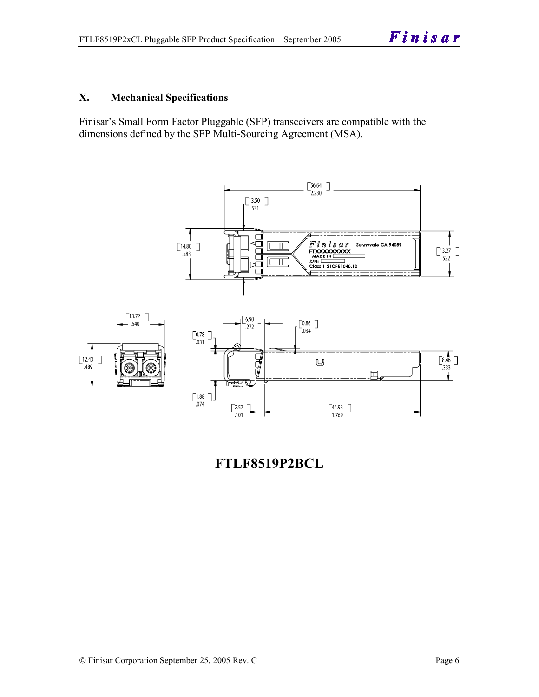#### **X. Mechanical Specifications**

Finisar's Small Form Factor Pluggable (SFP) transceivers are compatible with the dimensions defined by the SFP Multi-Sourcing Agreement (MSA).



**FTLF8519P2BCL**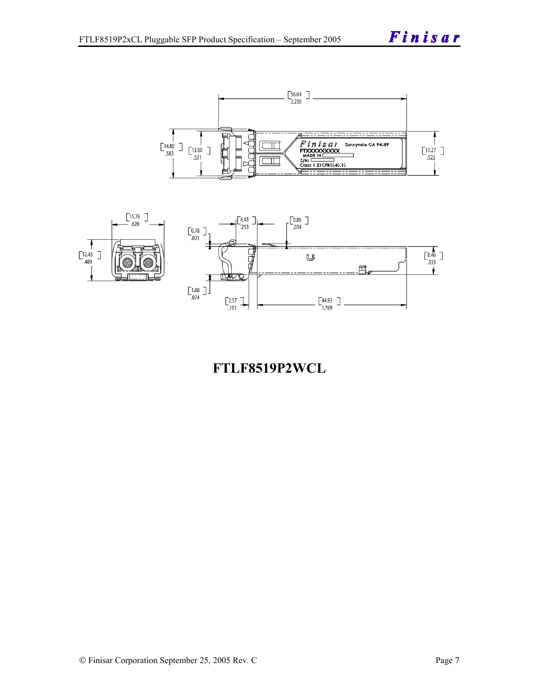Finisar





**FTLF8519P2WCL**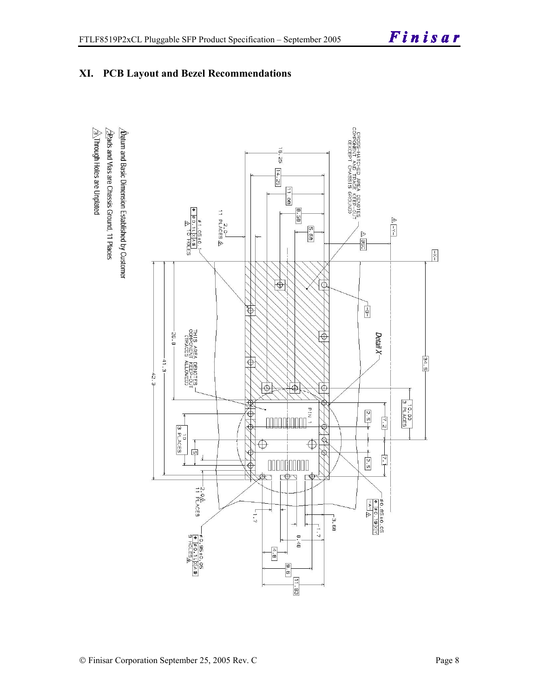

### **XI. PCB Layout and Bezel Recommendations**

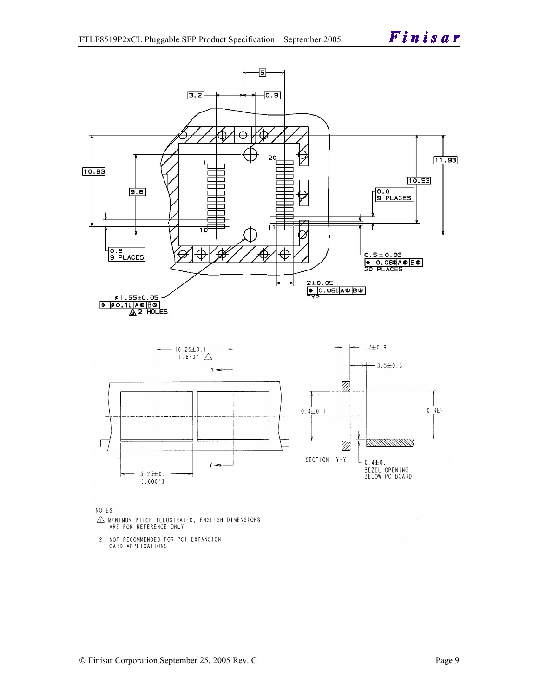

NOTES:

- $\triangle$  MINIMUM PITCH ILLUSTRATED, ENGLISH DIMENSIONS ARE FOR REFERENCE ONLY
- 2. NOT RECOMMENDED FOR PCI EXPANSION CARD APPLICATIONS